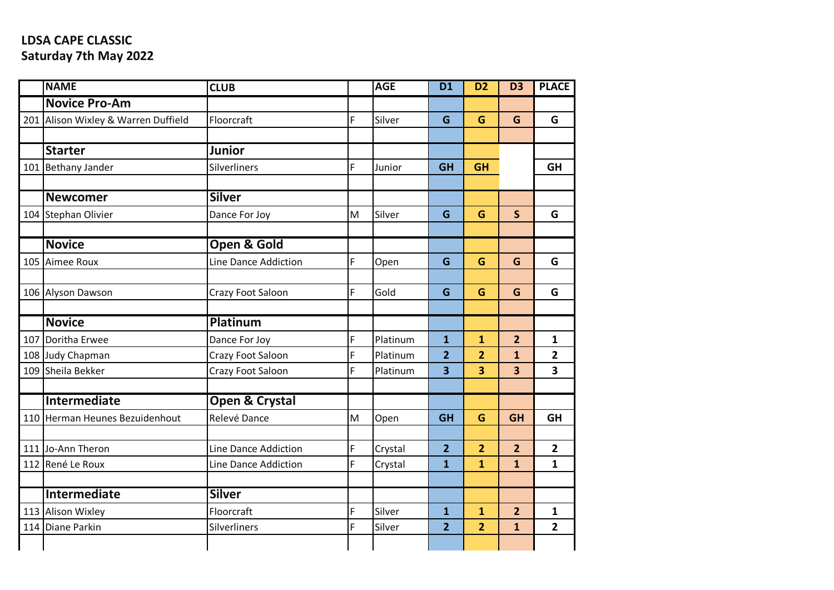## **LDSA CAPE CLASSIC Saturday 7th May 2022**

| <b>NAME</b>                         | <b>CLUB</b>            |   | <b>AGE</b> | <b>D1</b>               | D <sub>2</sub>          | D <sub>3</sub>          | <b>PLACE</b>            |
|-------------------------------------|------------------------|---|------------|-------------------------|-------------------------|-------------------------|-------------------------|
| <b>Novice Pro-Am</b>                |                        |   |            |                         |                         |                         |                         |
| 201 Alison Wixley & Warren Duffield | Floorcraft             | F | Silver     | G                       | G                       | G                       | G                       |
|                                     |                        |   |            |                         |                         |                         |                         |
| <b>Starter</b>                      | <b>Junior</b>          |   |            |                         |                         |                         |                         |
| 101 Bethany Jander                  | Silverliners           | F | Junior     | <b>GH</b>               | <b>GH</b>               |                         | <b>GH</b>               |
|                                     |                        |   |            |                         |                         |                         |                         |
| <b>Newcomer</b>                     | <b>Silver</b>          |   |            |                         |                         |                         |                         |
| 104 Stephan Olivier                 | Dance For Joy          | M | Silver     | G                       | G                       | $\mathsf{S}$            | G                       |
|                                     |                        |   |            |                         |                         |                         |                         |
| <b>Novice</b>                       | <b>Open &amp; Gold</b> |   |            |                         |                         |                         |                         |
| 105 Aimee Roux                      | Line Dance Addiction   | F | Open       | G                       | G                       | G                       | G                       |
|                                     |                        |   |            |                         |                         |                         |                         |
| 106 Alyson Dawson                   | Crazy Foot Saloon      | F | Gold       | G                       | G                       | G                       | G                       |
|                                     |                        |   |            |                         |                         |                         |                         |
| <b>Novice</b>                       | Platinum               |   |            |                         |                         |                         |                         |
| 107 Doritha Erwee                   | Dance For Joy          | F | Platinum   | $\mathbf{1}$            | $\mathbf{1}$            | $\overline{2}$          | $\mathbf{1}$            |
| 108 Judy Chapman                    | Crazy Foot Saloon      | F | Platinum   | $\overline{2}$          | $\overline{2}$          | $\overline{1}$          | $\overline{2}$          |
| 109 Sheila Bekker                   | Crazy Foot Saloon      | F | Platinum   | 3                       | 3                       | $\overline{\mathbf{3}}$ | $\overline{\mathbf{3}}$ |
|                                     |                        |   |            |                         |                         |                         |                         |
| Intermediate                        | Open & Crystal         |   |            |                         |                         |                         |                         |
| 110 Herman Heunes Bezuidenhout      | Relevé Dance           | M | Open       | <b>GH</b>               | G                       | <b>GH</b>               | <b>GH</b>               |
|                                     |                        |   |            |                         |                         |                         |                         |
| 111 Jo-Ann Theron                   | Line Dance Addiction   | F | Crystal    | $\overline{2}$          | $\overline{2}$          | $\overline{2}$          | $\overline{2}$          |
| 112 René Le Roux                    | Line Dance Addiction   | F | Crystal    | $\overline{\mathbf{1}}$ | $\overline{\mathbf{1}}$ | $\overline{1}$          | $\mathbf{1}$            |
|                                     |                        |   |            |                         |                         |                         |                         |
| Intermediate                        | <b>Silver</b>          |   |            |                         |                         |                         |                         |
| 113 Alison Wixley                   | Floorcraft             | F | Silver     | $\mathbf{1}$            | $\mathbf{1}$            | $\overline{2}$          | $\mathbf{1}$            |
| 114 Diane Parkin                    | Silverliners           | F | Silver     | $\overline{2}$          | $\overline{2}$          | $\mathbf{1}$            | $\overline{2}$          |
|                                     |                        |   |            |                         |                         |                         |                         |